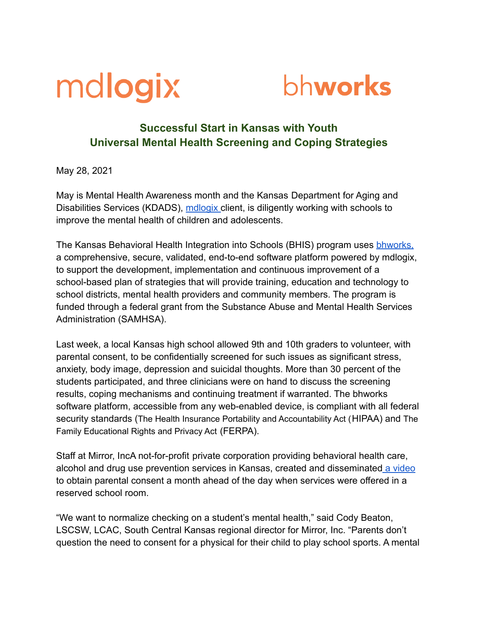



## **Successful Start in Kansas with Youth Universal Mental Health Screening and Coping Strategies**

May 28, 2021

May is Mental Health Awareness month and the Kansas Department for Aging and Disabilities Services (KDADS), [mdlogix](https://mdlogix.com/) client, is diligently working with schools to improve the mental health of children and adolescents.

The Kansas Behavioral Health Integration into Schools (BHIS) program uses **bhworks**, a comprehensive, secure, validated, end-to-end software platform powered by mdlogix, to support the development, implementation and continuous improvement of a school-based plan of strategies that will provide training, education and technology to school districts, mental health providers and community members. The program is funded through a federal grant from the Substance Abuse and Mental Health Services Administration (SAMHSA).

Last week, a local Kansas high school allowed 9th and 10th graders to volunteer, with parental consent, to be confidentially screened for such issues as significant stress, anxiety, body image, depression and suicidal thoughts. More than 30 percent of the students participated, and three clinicians were on hand to discuss the screening results, coping mechanisms and continuing treatment if warranted. The bhworks software platform, accessible from any web-enabled device, is compliant with all federal security standards (The Health Insurance Portability and Accountability Act (HIPAA) and The Family Educational Rights and Privacy Act (FERPA).

Staff at Mirror, IncA not-for-profit private corporation providing behavioral health care, alcohol and drug use prevention services in Kansas, created and disseminated [a video](https://www.youtube.com/watch?v=5qRh5jVDZTg) to obtain parental consent a month ahead of the day when services were offered in a reserved school room.

"We want to normalize checking on a student's mental health," said Cody Beaton, LSCSW, LCAC, South Central Kansas regional director for Mirror, Inc. "Parents don't question the need to consent for a physical for their child to play school sports. A mental